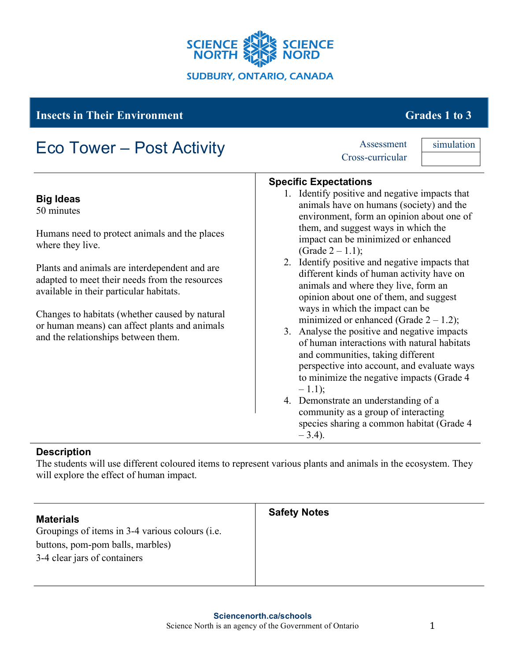

# **Insects in Their Environment** Grades 1 to 3

#### **Big Ideas** 50 minutes Humans need to protect animals and the places where they live. Plants and animals are interdependent and are adapted to meet their needs from the resources available in their particular habitats. Changes to habitats (whether caused by natural or human means) can affect plants and animals and the relationships between them. **Specific Expectations** 1. Identify positive and negative impacts that animals have on humans (society) and the environment, form an opinion about one of them, and suggest ways in which the impact can be minimized or enhanced (Grade  $2 - 1.1$ ); 2. Identify positive and negative impacts that different kinds of human activity have on animals and where they live, form an opinion about one of them, and suggest ways in which the impact can be minimized or enhanced (Grade  $2 - 1.2$ ); 3. Analyse the positive and negative impacts of human interactions with natural habitats and communities, taking different perspective into account, and evaluate ways to minimize the negative impacts (Grade 4  $-1.1$ ; 4. Demonstrate an understanding of a community as a group of interacting species sharing a common habitat (Grade 4  $-3.4$ ). Eco Tower – Post Activity Assessment Cross-curricular simulation

#### **Description**

The students will use different coloured items to represent various plants and animals in the ecosystem. They will explore the effect of human impact.

| <b>Materials</b><br>Groupings of items in 3-4 various colours (i.e.<br>buttons, pom-pom balls, marbles)<br>3-4 clear jars of containers | <b>Safety Notes</b> |
|-----------------------------------------------------------------------------------------------------------------------------------------|---------------------|
|                                                                                                                                         |                     |